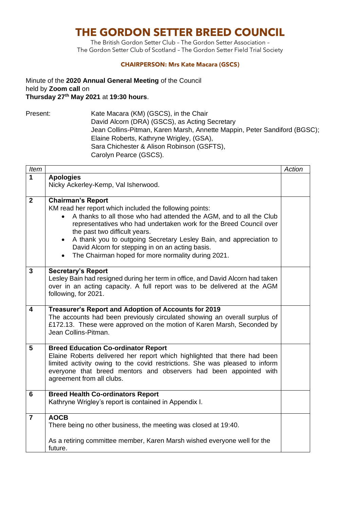## **THE GORDON SETTER BREED COUNCIL**

The British Gordon Setter Club – The Gordon Setter Association – The Gordon Setter Club of Scotland – The Gordon Setter Field Trial Society

## **CHAIRPERSON: Mrs Kate Macara (GSCS)**

Minute of the **2020 Annual General Meeting** of the Council held by **Zoom call** on **Thursday 27th May 2021** at **19:30 hours**.

Present: Kate Macara (KM) (GSCS), in the Chair David Alcorn (DRA) (GSCS), as Acting Secretary Jean Collins-Pitman, Karen Marsh, Annette Mappin, Peter Sandiford (BGSC); Elaine Roberts, Kathryne Wrigley, (GSA), Sara Chichester & Alison Robinson (GSFTS), Carolyn Pearce (GSCS).

| Item           |                                                                                                                                                          | Action |
|----------------|----------------------------------------------------------------------------------------------------------------------------------------------------------|--------|
| 1              | <b>Apologies</b>                                                                                                                                         |        |
|                | Nicky Ackerley-Kemp, Val Isherwood.                                                                                                                      |        |
|                |                                                                                                                                                          |        |
| $\overline{2}$ | <b>Chairman's Report</b>                                                                                                                                 |        |
|                | KM read her report which included the following points:                                                                                                  |        |
|                | A thanks to all those who had attended the AGM, and to all the Club<br>representatives who had undertaken work for the Breed Council over                |        |
|                | the past two difficult years.                                                                                                                            |        |
|                | A thank you to outgoing Secretary Lesley Bain, and appreciation to                                                                                       |        |
|                | David Alcorn for stepping in on an acting basis.                                                                                                         |        |
|                | The Chairman hoped for more normality during 2021.                                                                                                       |        |
|                |                                                                                                                                                          |        |
| 3              | <b>Secretary's Report</b>                                                                                                                                |        |
|                | Lesley Bain had resigned during her term in office, and David Alcorn had taken                                                                           |        |
|                | over in an acting capacity. A full report was to be delivered at the AGM                                                                                 |        |
|                | following, for 2021.                                                                                                                                     |        |
| 4              | Treasurer's Report and Adoption of Accounts for 2019                                                                                                     |        |
|                | The accounts had been previously circulated showing an overall surplus of                                                                                |        |
|                | £172.13. These were approved on the motion of Karen Marsh, Seconded by                                                                                   |        |
|                | Jean Collins-Pitman.                                                                                                                                     |        |
|                |                                                                                                                                                          |        |
| 5              | <b>Breed Education Co-ordinator Report</b>                                                                                                               |        |
|                | Elaine Roberts delivered her report which highlighted that there had been<br>limited activity owing to the covid restrictions. She was pleased to inform |        |
|                | everyone that breed mentors and observers had been appointed with                                                                                        |        |
|                | agreement from all clubs.                                                                                                                                |        |
|                |                                                                                                                                                          |        |
| 6              | <b>Breed Health Co-ordinators Report</b>                                                                                                                 |        |
|                | Kathryne Wrigley's report is contained in Appendix I.                                                                                                    |        |
|                | <b>AOCB</b>                                                                                                                                              |        |
| $\overline{7}$ | There being no other business, the meeting was closed at 19:40.                                                                                          |        |
|                |                                                                                                                                                          |        |
|                | As a retiring committee member, Karen Marsh wished everyone well for the                                                                                 |        |
|                | future.                                                                                                                                                  |        |
|                |                                                                                                                                                          |        |